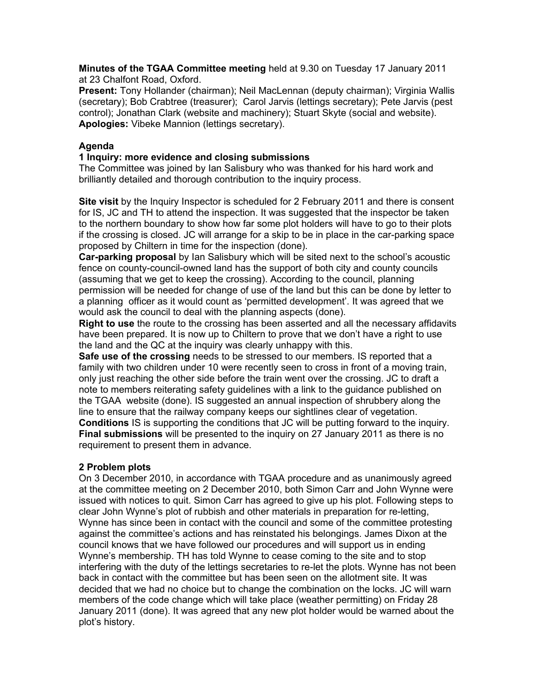**Minutes of the TGAA Committee meeting** held at 9.30 on Tuesday 17 January 2011 at 23 Chalfont Road, Oxford.

**Present:** Tony Hollander (chairman); Neil MacLennan (deputy chairman); Virginia Wallis (secretary); Bob Crabtree (treasurer); Carol Jarvis (lettings secretary); Pete Jarvis (pest control); Jonathan Clark (website and machinery); Stuart Skyte (social and website). **Apologies:** Vibeke Mannion (lettings secretary).

#### **Agenda**

#### **1 Inquiry: more evidence and closing submissions**

The Committee was joined by Ian Salisbury who was thanked for his hard work and brilliantly detailed and thorough contribution to the inquiry process.

**Site visit** by the Inquiry Inspector is scheduled for 2 February 2011 and there is consent for IS, JC and TH to attend the inspection. It was suggested that the inspector be taken to the northern boundary to show how far some plot holders will have to go to their plots if the crossing is closed. JC will arrange for a skip to be in place in the car-parking space proposed by Chiltern in time for the inspection (done).

**Car-parking proposal** by Ian Salisbury which will be sited next to the school's acoustic fence on county-council-owned land has the support of both city and county councils (assuming that we get to keep the crossing). According to the council, planning permission will be needed for change of use of the land but this can be done by letter to a planning officer as it would count as 'permitted development'. It was agreed that we would ask the council to deal with the planning aspects (done).

**Right to use** the route to the crossing has been asserted and all the necessary affidavits have been prepared. It is now up to Chiltern to prove that we don't have a right to use the land and the QC at the inquiry was clearly unhappy with this.

**Safe use of the crossing** needs to be stressed to our members. IS reported that a family with two children under 10 were recently seen to cross in front of a moving train, only just reaching the other side before the train went over the crossing. JC to draft a note to members reiterating safety guidelines with a link to the guidance published on the TGAA website (done). IS suggested an annual inspection of shrubbery along the line to ensure that the railway company keeps our sightlines clear of vegetation. **Conditions** IS is supporting the conditions that JC will be putting forward to the inquiry. **Final submissions** will be presented to the inquiry on 27 January 2011 as there is no requirement to present them in advance.

## **2 Problem plots**

On 3 December 2010, in accordance with TGAA procedure and as unanimously agreed at the committee meeting on 2 December 2010, both Simon Carr and John Wynne were issued with notices to quit. Simon Carr has agreed to give up his plot. Following steps to clear John Wynne's plot of rubbish and other materials in preparation for re-letting, Wynne has since been in contact with the council and some of the committee protesting against the committee's actions and has reinstated his belongings. James Dixon at the council knows that we have followed our procedures and will support us in ending Wynne's membership. TH has told Wynne to cease coming to the site and to stop interfering with the duty of the lettings secretaries to re-let the plots. Wynne has not been back in contact with the committee but has been seen on the allotment site. It was decided that we had no choice but to change the combination on the locks. JC will warn members of the code change which will take place (weather permitting) on Friday 28 January 2011 (done). It was agreed that any new plot holder would be warned about the plot's history.